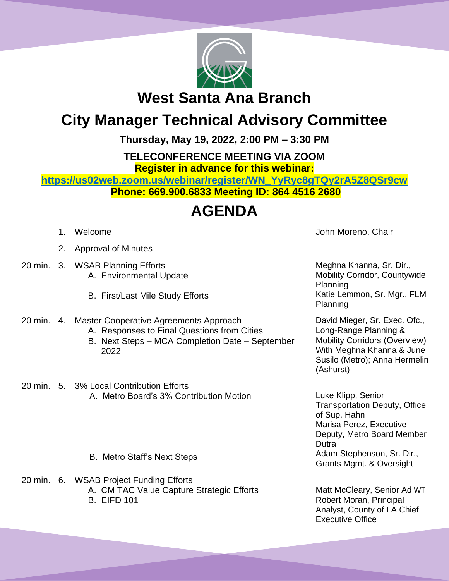

## **West Santa Ana Branch**

## **City Manager Technical Advisory Committee**

**Thursday, May 19, 2022, 2:00 PM – 3:30 PM**

**TELECONFERENCE MEETING VIA ZOOM**

**Register in advance for this webinar:**

**[https://us02web.zoom.us/webinar/register/WN\\_YyRyc8gTQy2rA5Z8QSr9cw](https://us02web.zoom.us/webinar/register/WN_YyRyc8gTQy2rA5Z8QSr9cw) Phone: 669.900.6833 Meeting ID: 864 4516 2680**

## **AGENDA**

- 
- 2. Approval of Minutes
- 20 min. 3. WSAB Planning Efforts A. Environmental Update
	- B. First/Last Mile Study Efforts
- 20 min. 4. Master Cooperative Agreements Approach
	- A. Responses to Final Questions from Cities
	- B. Next Steps MCA Completion Date September 2022
- 20 min. 5. 3% Local Contribution Efforts A. Metro Board's 3% Contribution Motion
	- B. Metro Staff's Next Steps
- 20 min. 6. WSAB Project Funding Efforts A. CM TAC Value Capture Strategic Efforts B. EIFD 101

1. Welcome **John Moreno, Chair** 

Meghna Khanna, Sr. Dir., Mobility Corridor, Countywide Planning Katie Lemmon, Sr. Mgr., FLM Planning

David Mieger, Sr. Exec. Ofc., Long-Range Planning & Mobility Corridors (Overview) With Meghna Khanna & June Susilo (Metro); Anna Hermelin (Ashurst)

Luke Klipp, Senior Transportation Deputy, Office of Sup. Hahn Marisa Perez, Executive Deputy, Metro Board Member **Dutra** Adam Stephenson, Sr. Dir., Grants Mgmt. & Oversight

Matt McCleary, Senior Ad WT Robert Moran, Principal Analyst, County of LA Chief Executive Office